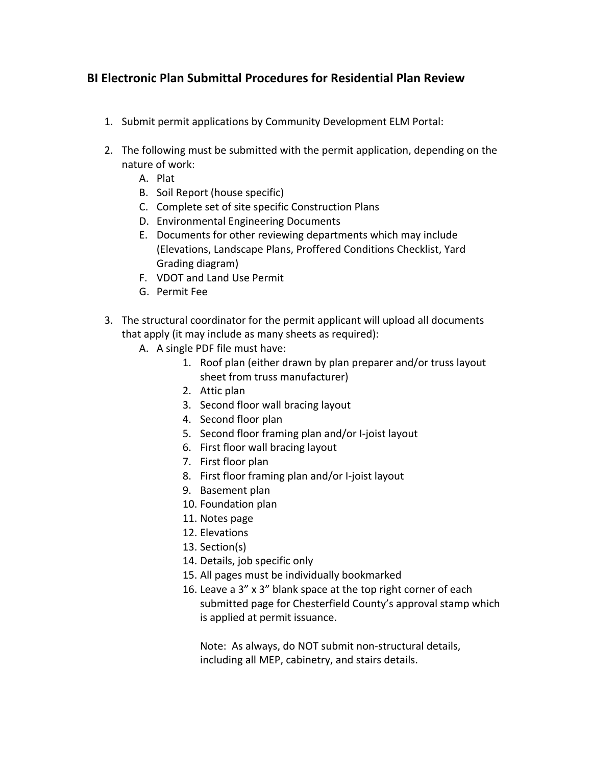## **BI Electronic Plan Submittal Procedures for Residential Plan Review**

- 1. Submit permit applications by Community Development ELM Portal:
- 2. The following must be submitted with the permit application, depending on the nature of work:
	- A. Plat
	- B. Soil Report (house specific)
	- C. Complete set of site specific Construction Plans
	- D. Environmental Engineering Documents
	- E. Documents for other reviewing departments which may include (Elevations, Landscape Plans, Proffered Conditions Checklist, Yard Grading diagram)
	- F. VDOT and Land Use Permit
	- G. Permit Fee
- 3. The structural coordinator for the permit applicant will upload all documents that apply (it may include as many sheets as required):
	- A. A single PDF file must have:
		- 1. Roof plan (either drawn by plan preparer and/or truss layout sheet from truss manufacturer)
		- 2. Attic plan
		- 3. Second floor wall bracing layout
		- 4. Second floor plan
		- 5. Second floor framing plan and/or I‐joist layout
		- 6. First floor wall bracing layout
		- 7. First floor plan
		- 8. First floor framing plan and/or I‐joist layout
		- 9. Basement plan
		- 10. Foundation plan
		- 11. Notes page
		- 12. Elevations
		- 13. Section(s)
		- 14. Details, job specific only
		- 15. All pages must be individually bookmarked
		- 16. Leave a 3" x 3" blank space at the top right corner of each submitted page for Chesterfield County's approval stamp which is applied at permit issuance.

Note: As always, do NOT submit non‐structural details, including all MEP, cabinetry, and stairs details.